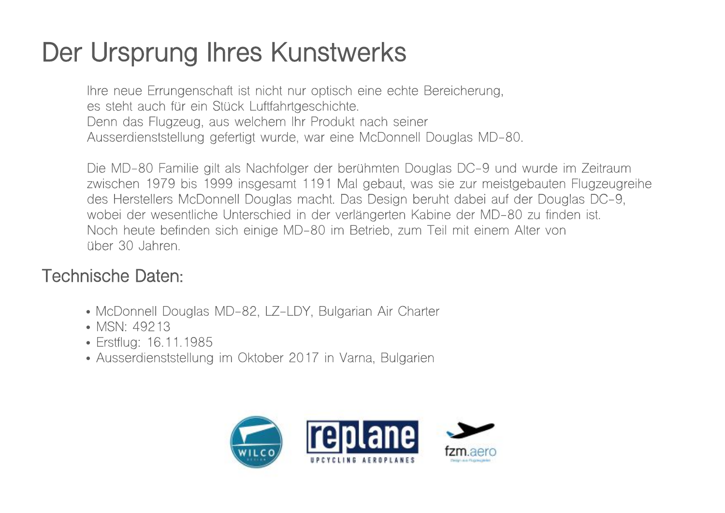## **Der Ursprung Ihres Kunstwerks**

Ihre neue Errungenschaft ist nicht nur optisch eine echte Bereicherung, es steht auch für ein Stück Luftfahrtgeschichte. Denn das Flugzeug, aus welchem Ihr Produkt nach seiner Ausserdienststellung gefertigt wurde, war eine McDonnell Douglas MD-80.

Die MD-80 Familie gilt als Nachfolger der berühmten Douglas DC-9 und wurde im Zeitraum zwischen 1979 bis 1999 insgesamt 1191 Mal gebaut, was sie zur meistgebauten Flugzeugreihe des Herstellers McDonnell Douglas macht. Das Design beruht dabei auf der Douglas DC-9, wobei der wesentliche Unterschied in der verlängerten Kabine der MD-80 zu finden ist. Noch heute befinden sich einige MD-80 im Betrieb, zum Teil mit einem Alter von über 30 Jahren.

## $\mathbb{R}^2$ **Technische Daten:**

- McDonnell Douglas MD-82, LZ-LDY, Bulgarian Air Charter
- MSN: 49213
- Erstflug: 16.11.1985
- Ausserdienststellung im Oktober 2017 in Varna, Bulgarien

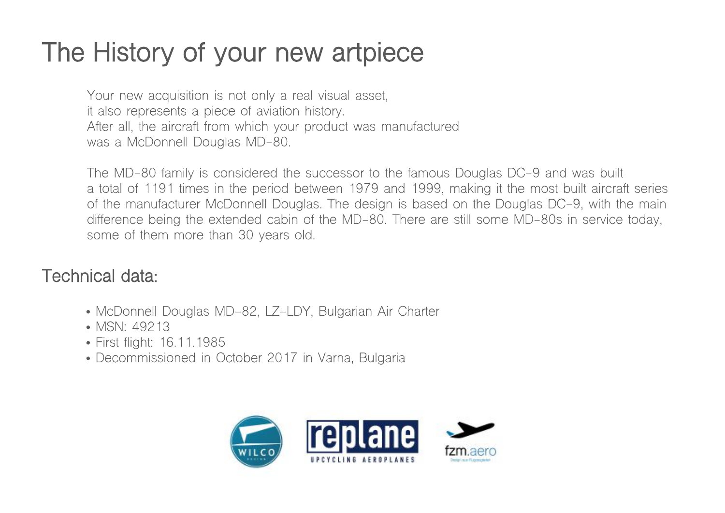## **The History of your new artpiece**

Your new acquisition is not only a real visual asset, it also represents a piece of aviation history. After all, the aircraft from which your product was manufactured was a McDonnell Douglas MD-80.

The MD-80 family is considered the successor to the famous Douglas DC-9 and was built a total of 1191 times in the period between 1979 and 1999, making it the most built aircraft series of the manufacturer McDonnell Douglas. The design is based on the Douglas DC-9, with the main difference being the extended cabin of the MD-80. There are still some MD-80s in service today, some of them more than 30 years old.

## **Technical data:**

- McDonnell Douglas MD-82, LZ-LDY, Bulgarian Air Charter
- MSN: 49213
- First flight: 16.11.1985
- Decommissioned in October 2017 in Varna, Bulgaria

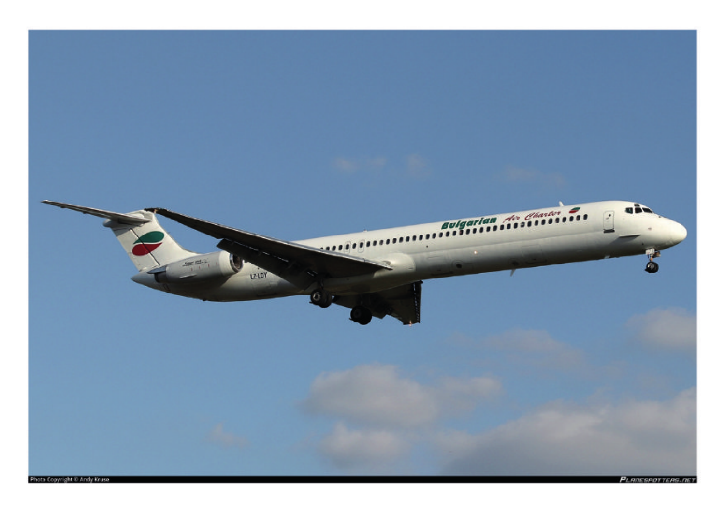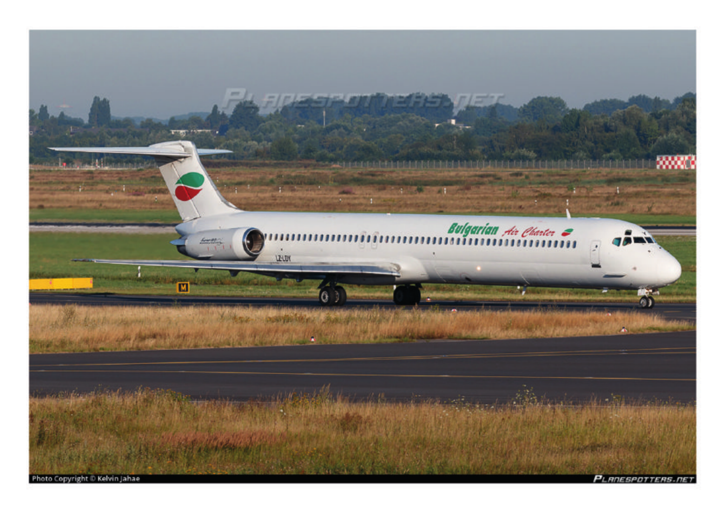